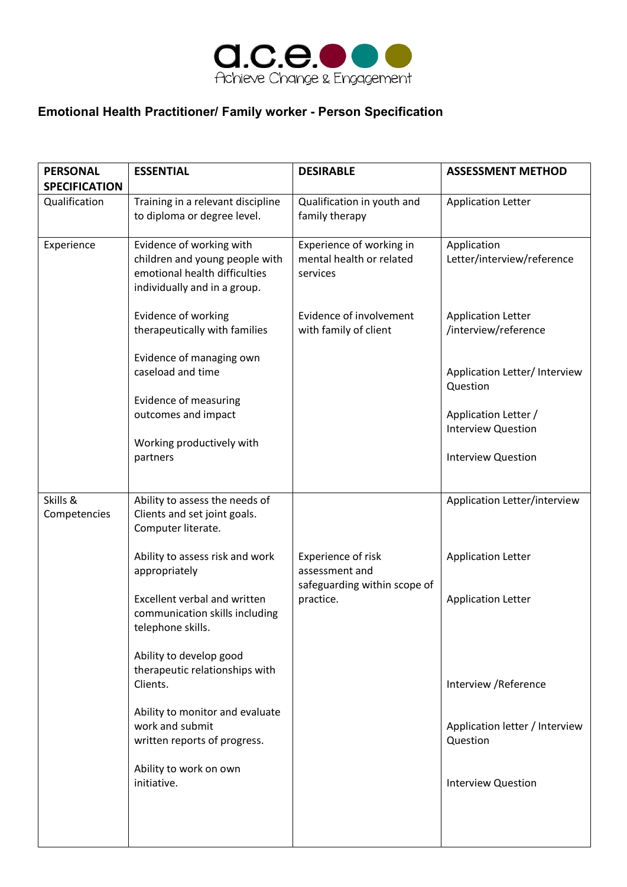

## **Emotional Health Practitioner/ Family worker - Person Specification**

| <b>PERSONAL</b>                       | <b>ESSENTIAL</b>                                                                                                            | <b>DESIRABLE</b>                                                 | <b>ASSESSMENT METHOD</b>                          |
|---------------------------------------|-----------------------------------------------------------------------------------------------------------------------------|------------------------------------------------------------------|---------------------------------------------------|
| <b>SPECIFICATION</b><br>Qualification | Training in a relevant discipline<br>to diploma or degree level.                                                            | Qualification in youth and<br>family therapy                     | <b>Application Letter</b>                         |
| Experience                            | Evidence of working with<br>children and young people with<br>emotional health difficulties<br>individually and in a group. | Experience of working in<br>mental health or related<br>services | Application<br>Letter/interview/reference         |
|                                       | Evidence of working<br>therapeutically with families                                                                        | Evidence of involvement<br>with family of client                 | <b>Application Letter</b><br>/interview/reference |
|                                       | Evidence of managing own<br>caseload and time                                                                               |                                                                  | Application Letter/ Interview<br>Question         |
|                                       | Evidence of measuring<br>outcomes and impact                                                                                |                                                                  | Application Letter /<br><b>Interview Question</b> |
|                                       | Working productively with<br>partners                                                                                       |                                                                  | <b>Interview Question</b>                         |
| Skills &<br>Competencies              | Ability to assess the needs of<br>Clients and set joint goals.<br>Computer literate.                                        |                                                                  | Application Letter/interview                      |
|                                       | Ability to assess risk and work<br>appropriately                                                                            | Experience of risk<br>assessment and                             | <b>Application Letter</b>                         |
|                                       | Excellent verbal and written<br>communication skills including<br>telephone skills.                                         | safeguarding within scope of<br>practice.                        | <b>Application Letter</b>                         |
|                                       | Ability to develop good<br>therapeutic relationships with<br>Clients.                                                       |                                                                  | Interview / Reference                             |
|                                       | Ability to monitor and evaluate<br>work and submit<br>written reports of progress.                                          |                                                                  | Application letter / Interview<br>Question        |
|                                       | Ability to work on own<br>initiative.                                                                                       |                                                                  | <b>Interview Question</b>                         |
|                                       |                                                                                                                             |                                                                  |                                                   |